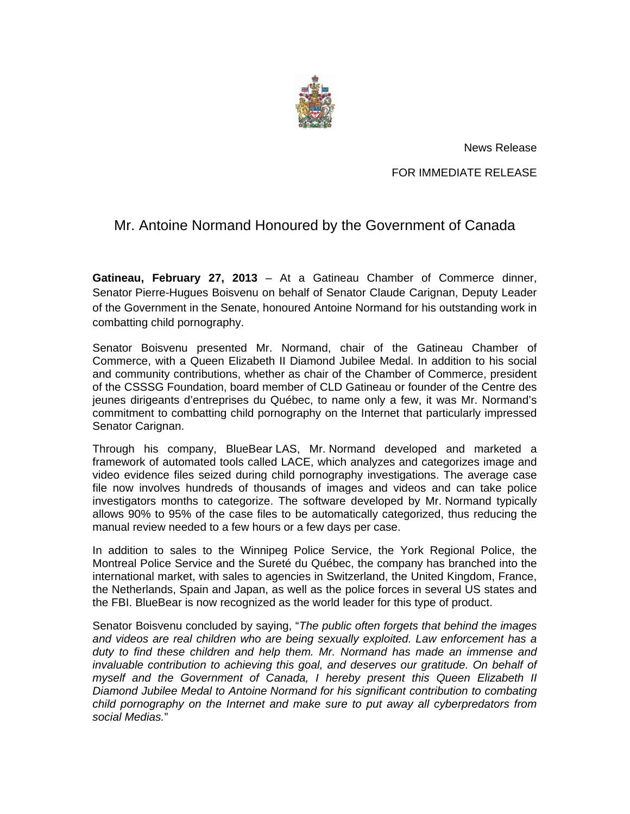

News Release

FOR IMMEDIATE RELEASE

## Mr. Antoine Normand Honoured by the Government of Canada

**Gatineau, February 27, 2013** – At a Gatineau Chamber of Commerce dinner, Senator Pierre-Hugues Boisvenu on behalf of Senator Claude Carignan, Deputy Leader of the Government in the Senate, honoured Antoine Normand for his outstanding work in combatting child pornography.

Senator Boisvenu presented Mr. Normand, chair of the Gatineau Chamber of Commerce, with a Queen Elizabeth II Diamond Jubilee Medal. In addition to his social and community contributions, whether as chair of the Chamber of Commerce, president of the CSSSG Foundation, board member of CLD Gatineau or founder of the Centre des jeunes dirigeants d'entreprises du Québec, to name only a few, it was Mr. Normand's commitment to combatting child pornography on the Internet that particularly impressed Senator Carignan.

Through his company, BlueBear LAS, Mr. Normand developed and marketed a framework of automated tools called LACE, which analyzes and categorizes image and video evidence files seized during child pornography investigations. The average case file now involves hundreds of thousands of images and videos and can take police investigators months to categorize. The software developed by Mr. Normand typically allows 90% to 95% of the case files to be automatically categorized, thus reducing the manual review needed to a few hours or a few days per case.

In addition to sales to the Winnipeg Police Service, the York Regional Police, the Montreal Police Service and the Sureté du Québec, the company has branched into the international market, with sales to agencies in Switzerland, the United Kingdom, France, the Netherlands, Spain and Japan, as well as the police forces in several US states and the FBI. BlueBear is now recognized as the world leader for this type of product.

Senator Boisvenu concluded by saying, "*The public often forgets that behind the images and videos are real children who are being sexually exploited. Law enforcement has a duty to find these children and help them. Mr. Normand has made an immense and invaluable contribution to achieving this goal, and deserves our gratitude. On behalf of myself and the Government of Canada, I hereby present this Queen Elizabeth II Diamond Jubilee Medal to Antoine Normand for his significant contribution to combating child pornography on the Internet and make sure to put away all cyberpredators from social Medias.*"